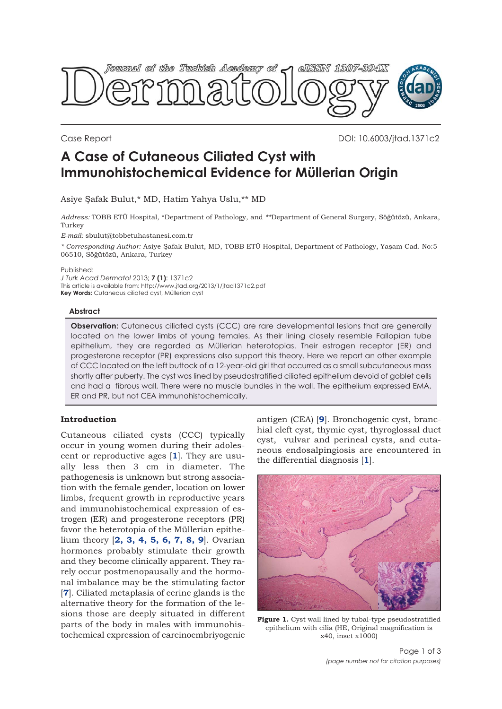<span id="page-0-0"></span>

Case Report DOI: 10.6003/jtad.1371c2

# **A Case of Cutaneous Ciliated Cyst with Immunohistochemical Evidence for Müllerian Origin**

Asiye Şafak Bulut,\* MD, Hatim Yahya Uslu,\*\* MD

*Address:* TOBB ETÜ Hospital, \*Department of Pathology, and *\*\**Department of General Surgery, Söğütözü, Ankara, Turkey

*E-mail:* sbulut@tobbetuhastanesi.com.tr

*\* Corresponding Author:* Asiye Şafak Bulut, MD, TOBB ETÜ Hospital, Department of Pathology, Yaşam Cad. No:5 06510, Söğütözü, Ankara, Turkey

Published:

*J Turk Acad Dermatol* 2013; **7 (1)**: 1371c2 This article is available from: http://www.jtad.org/2013/1/jtad1371c2.pdf **Key Words:** Cutaneous ciliated cyst, Müllerian cyst

### **Abstract**

**Observation:** Cutaneous ciliated cysts (CCC) are rare developmental lesions that are generally located on the lower limbs of young females. As their lining closely resemble Fallopian tube epithelium, they are regarded as Müllerian heterotopias. Their estrogen receptor (ER) and progesterone receptor (PR) expressions also support this theory. Here we report an other example of CCC located on the left buttock of a 12-year-old girl that occurred as a small subcutaneous mass shortly after puberty. The cyst was lined by pseudostratified ciliated epithelium devoid of goblet cells and had a fibrous wall. There were no muscle bundles in the wall. The epithelium expressed EMA, ER and PR, but not CEA immunohistochemically.

## **Introduction**

Cutaneous ciliated cysts (CCC) typically occur in young women during their adolescent or reproductive ages [**[1](#page-2-0)**]. They are usually less then 3 cm in diameter. The pathogenesis is unknown but strong association with the female gender, location on lower limbs, frequent growth in reproductive years and immunohistochemical expression of estrogen (ER) and progesterone receptors (PR) favor the heterotopia of the Müllerian epithelium theory [**[2, 3, 4, 5, 6, 7, 8, 9](#page-2-0)**]. Ovarian hormones probably stimulate their growth and they become clinically apparent. They rarely occur postmenopausally and the hormonal imbalance may be the stimulating factor [**[7](#page-2-0)**]. Ciliated metaplasia of ecrine glands is the alternative theory for the formation of the lesions those are deeply situated in different parts of the body in males with immunohistochemical expression of carcinoembriyogenic

antigen (CEA) [**[9](#page-2-0)**]. Bronchogenic cyst, branchial cleft cyst, thymic cyst, thyroglossal duct cyst, vulvar and perineal cysts, and cutaneous endosalpingiosis are encountered in the differential diagnosis [**[1](#page-2-0)**].



**Figure 1.** Cyst wall lined by tubal-type pseudostratified epithelium with cilia (HE, Original magnification is x40, inset x1000)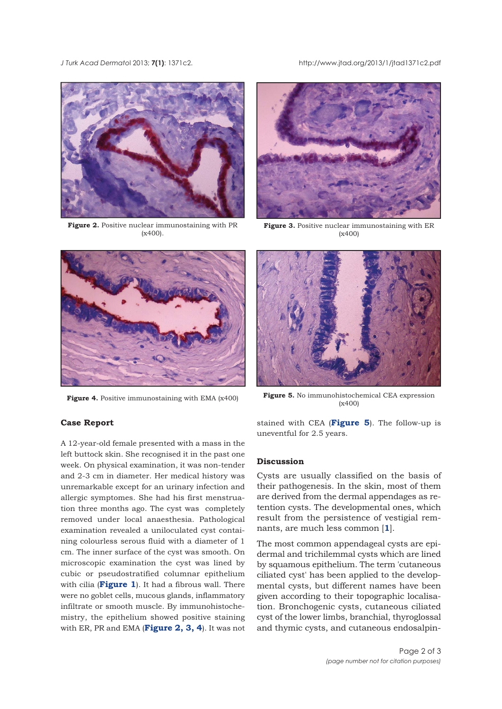*J Turk Acad Dermato*l 2013; **7(1)**: 1371c2. http://www.jtad.org/2013/1/jtad1371c2.pdf



**Figure 2.** Positive nuclear immunostaining with PR (x400).





**Figure 3.** Positive nuclear immunostaining with ER (x400)



**Figure 4.** Positive immunostaining with EMA (x400) **Figure 5.** No immunohistochemical CEA expression (x400)

### **Case Report**

A 12-year-old female presented with a mass in the left buttock skin. She recognised it in the past one week. On physical examination, it was non-tender and 2-3 cm in diameter. Her medical history was unremarkable except for an urinary infection and allergic symptomes. She had his first menstruation three months ago. The cyst was completely removed under local anaesthesia. Pathological examination revealed a uniloculated cyst containing colourless serous fluid with a diameter of 1 cm. The inner surface of the cyst was smooth. On microscopic examination the cyst was lined by cubic or pseudostratified columnar epithelium with cilia (**[Figure 1](#page-0-0)**). It had a fibrous wall. There were no goblet cells, mucous glands, inflammatory infiltrate or smooth muscle. By immunohistochemistry, the epithelium showed positive staining with ER, PR and EMA (**Figure 2, 3, 4**). It was not

stained with CEA (**Figure 5**). The follow-up is uneventful for 2.5 years.

## **Discussion**

Cysts are usually classified on the basis of their pathogenesis. In the skin, most of them are derived from the dermal appendages as retention cysts. The developmental ones, which result from the persistence of vestigial remnants, are much less common [**[1](#page-2-0)**].

The most common appendageal cysts are epidermal and trichilemmal cysts which are lined by squamous epithelium. The term 'cutaneous ciliated cyst' has been applied to the developmental cysts, but different names have been given according to their topographic localisation. Bronchogenic cysts, cutaneous ciliated cyst of the lower limbs, branchial, thyroglossal and thymic cysts, and cutaneous endosalpin